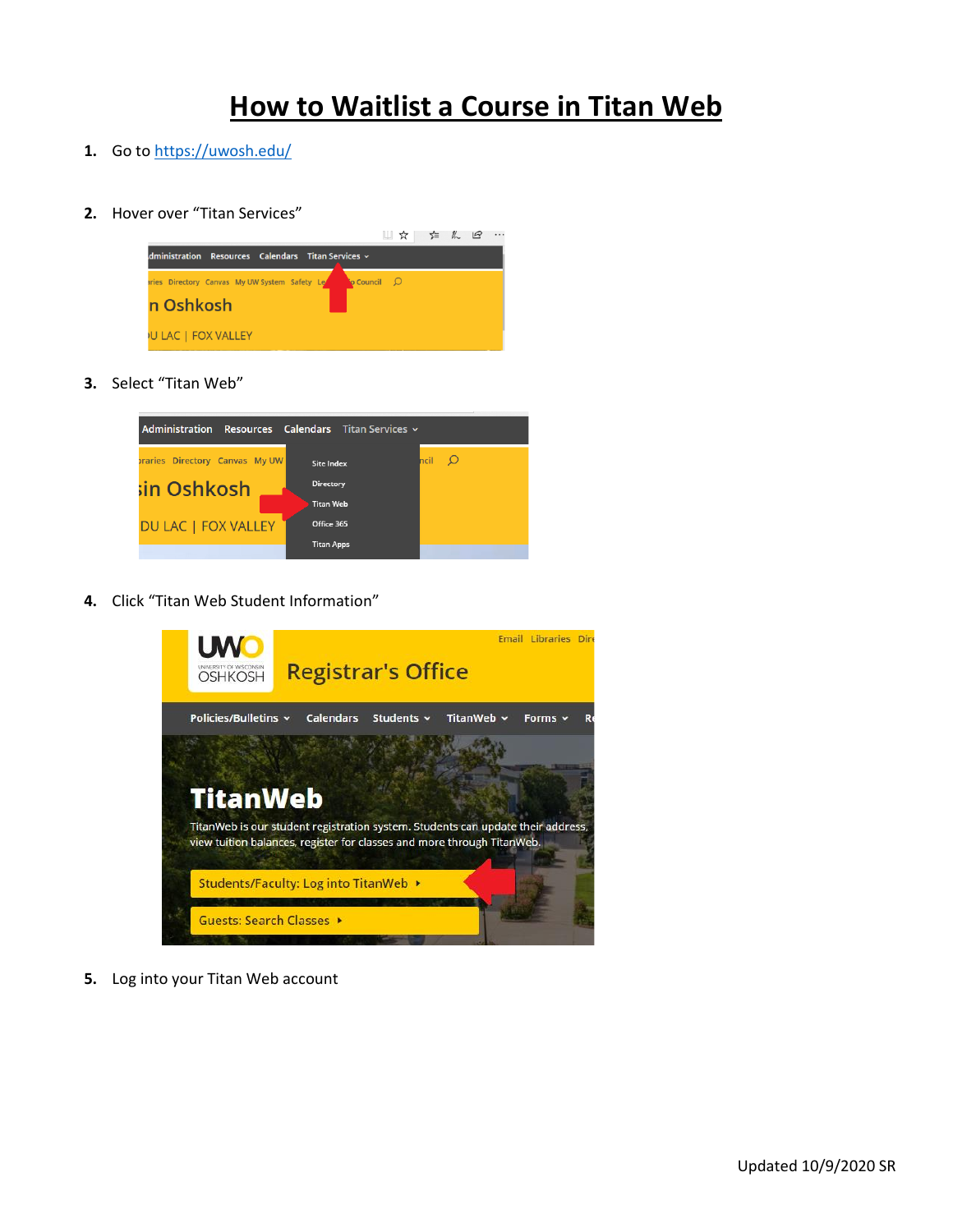# **How to Waitlist a Course in Titan Web**

- **1.** Go to<https://uwosh.edu/>
- **2.** Hover over "Titan Services"



**3.** Select "Titan Web"



**4.** Click "Titan Web Student Information"



**5.** Log into your Titan Web account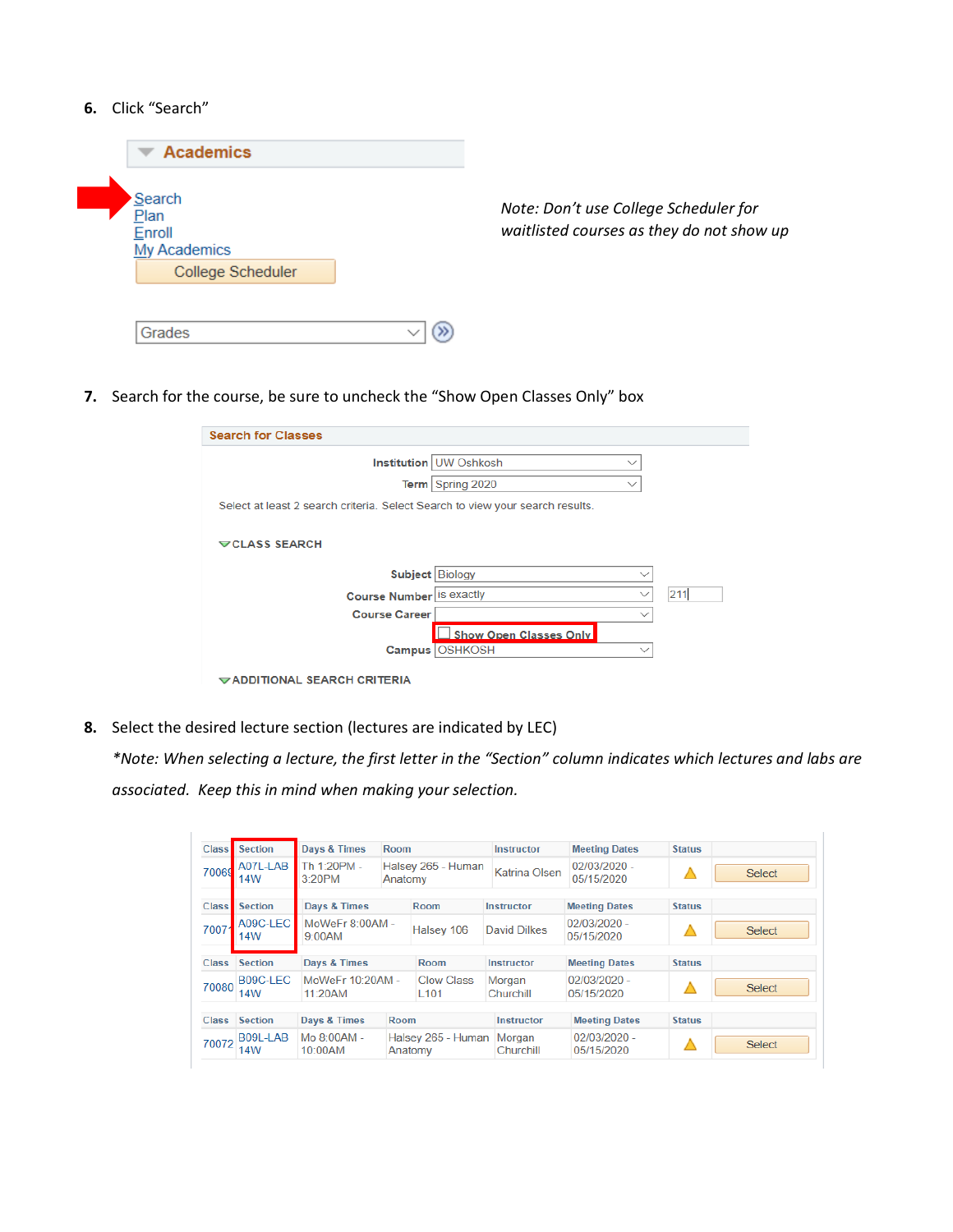### **6.** Click "Search"

| <b>Academics</b>                                              |                                                                                    |
|---------------------------------------------------------------|------------------------------------------------------------------------------------|
| Search<br>Plan<br>Enroll<br>My Academics<br>College Scheduler | Note: Don't use College Scheduler for<br>waitlisted courses as they do not show up |
| Grades                                                        |                                                                                    |

**7.** Search for the course, be sure to uncheck the "Show Open Classes Only" box

| <b>Search for Classes</b>                                                     |                               |              |     |
|-------------------------------------------------------------------------------|-------------------------------|--------------|-----|
|                                                                               | Institution UW Oshkosh        | $\checkmark$ |     |
|                                                                               | Term Spring 2020              |              |     |
| Select at least 2 search criteria. Select Search to view your search results. |                               |              |     |
| <b>▽CLASS SEARCH</b>                                                          |                               |              |     |
|                                                                               |                               |              |     |
|                                                                               | Subject   Biology             | $\checkmark$ |     |
| Course Number is exactly                                                      |                               | $\checkmark$ | 211 |
| <b>Course Career</b>                                                          |                               | $\checkmark$ |     |
|                                                                               | <b>Show Open Classes Only</b> |              |     |
| Campus                                                                        | <b>OSHKOSH</b>                | $\checkmark$ |     |
| ADDITIONAL SEARCH CRITERIA                                                    |                               |              |     |

**8.** Select the desired lecture section (lectures are indicated by LEC)

*\*Note: When selecting a lecture, the first letter in the "Section" column indicates which lectures and labs are associated. Keep this in mind when making your selection.*

| <b>Class</b> | <b>Section</b>         | <b>Days &amp; Times</b>        | Room        |                                       | <b>Instructor</b>    | <b>Meeting Dates</b>         | <b>Status</b>              |               |               |
|--------------|------------------------|--------------------------------|-------------|---------------------------------------|----------------------|------------------------------|----------------------------|---------------|---------------|
| 70069        | A07L-LAB<br>14W        | Th 1:20PM -<br>3:20PM          | Anatomy     | Halsey 265 - Human                    | <b>Katrina Olsen</b> | $02/03/2020 -$<br>05/15/2020 |                            | <b>Select</b> |               |
| <b>Class</b> | <b>Section</b>         | Days & Times                   |             | Room                                  | <b>Instructor</b>    | <b>Meeting Dates</b>         | <b>Status</b>              |               |               |
| 70071        | A09C-LEC<br>14W        | MoWeFr 8:00AM -<br>$9.00$ AM   |             | Halsey 106                            |                      | David Dilkes                 | 02/03/2020 -<br>05/15/2020 |               | <b>Select</b> |
| <b>Class</b> | <b>Section</b>         | Days & Times                   |             | Room                                  | Instructor           | <b>Meeting Dates</b>         | <b>Status</b>              |               |               |
| 70080        | B09C-LEC<br><b>14W</b> | MoWeFr 10:20AM -<br>$11.20$ AM |             | <b>Clow Class</b><br>L <sub>101</sub> | Morgan<br>Churchill  | $02/03/2020 -$<br>05/15/2020 |                            | <b>Select</b> |               |
| <b>Class</b> | <b>Section</b>         | Days & Times                   | <b>Room</b> |                                       | <b>Instructor</b>    | <b>Meeting Dates</b>         | <b>Status</b>              |               |               |
| 70072        | B09L-LAB<br>14W        | Mo 8:00AM -<br>10:00AM         |             | Halsey 265 - Human<br>Anatomy         | Morgan<br>Churchill  | 02/03/2020 -<br>05/15/2020   |                            | <b>Select</b> |               |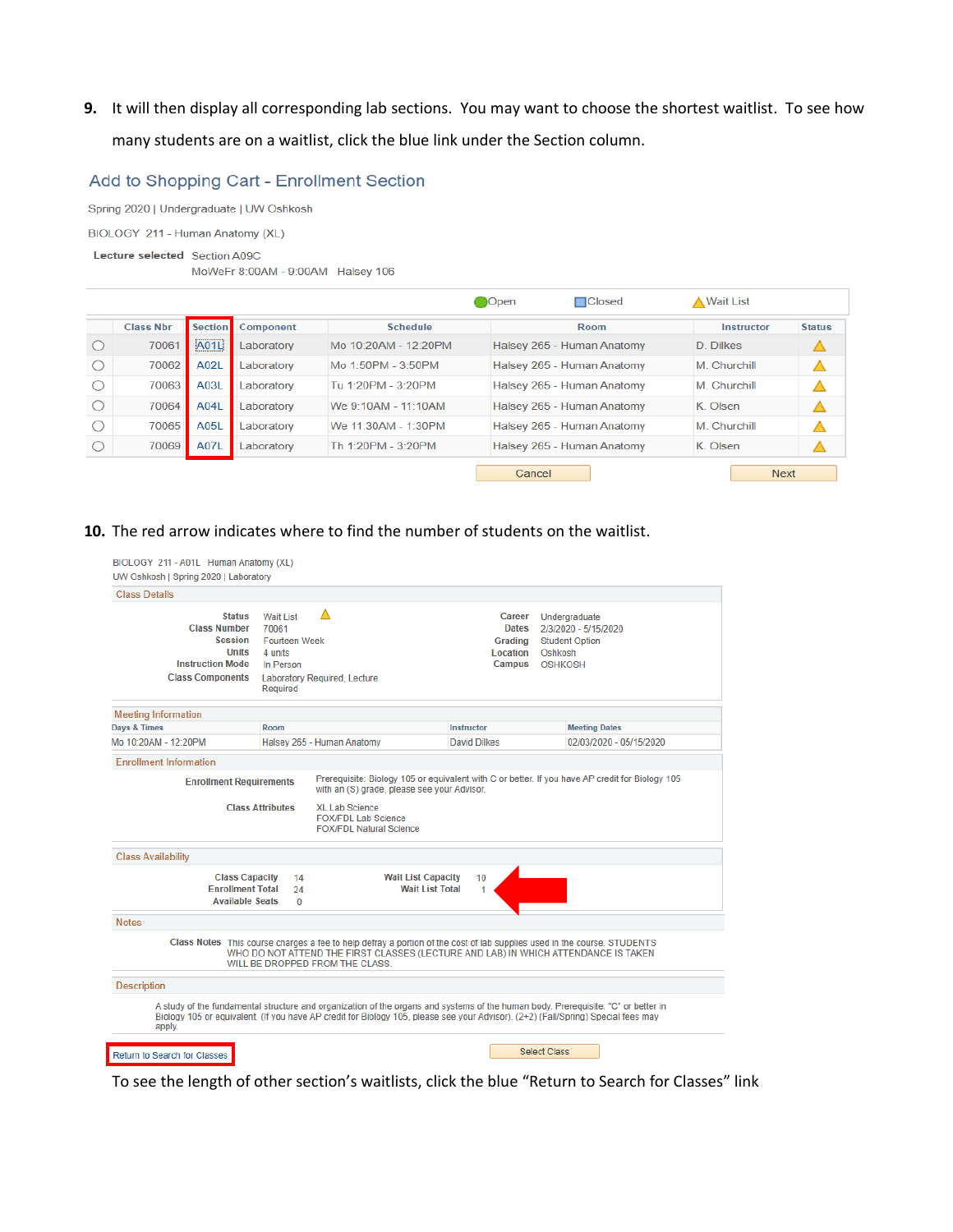**9.** It will then display all corresponding lab sections. You may want to choose the shortest waitlist. To see how many students are on a waitlist, click the blue link under the Section column.

### Add to Shopping Cart - Enrollment Section

Spring 2020 | Undergraduate | UW Oshkosh

BIOLOGY 211 - Human Anatomy (XL)

#### Lecture selected Section A09C

MoWeFr 8:00AM - 9:00AM Halsey 106

|                  |                |            |                      | Open   | $\Box$ Closed              | <b>A Wait List</b> |               |
|------------------|----------------|------------|----------------------|--------|----------------------------|--------------------|---------------|
| <b>Class Nbr</b> | <b>Section</b> | Component  | Schedule             |        | Room                       | Instructor         | <b>Status</b> |
| 70061            | <br>A01L       | Laboratory | Mo 10:20AM - 12:20PM |        | Halsey 265 - Human Anatomy | D. Dilkes          |               |
| 70062            | A02L           | Laboratory | Mo 1:50PM - 3:50PM   |        | Halsey 265 - Human Anatomy | M. Churchill       |               |
| 70063            | A03L           | Laboratory | Tu 1:20PM - 3:20PM   |        | Halsey 265 - Human Anatomy | M. Churchill       |               |
| 70064            | A04L           | Laboratory | We 9:10AM - 11:10AM  |        | Halsey 265 - Human Anatomy | K Olsen            |               |
| 70065            | <b>A05L</b>    | Laboratory | We 11:30AM - 1:30PM  |        | Halsey 265 - Human Anatomy | M Churchill        |               |
| 70069            | <b>A07L</b>    | Laboratory | Th 1:20PM - 3:20PM   |        | Halsey 265 - Human Anatomy | K. Olsen           |               |
|                  |                |            |                      | Cancel |                            | <b>Next</b>        |               |

### **10.** The red arrow indicates where to find the number of students on the waitlist.

| <b>Class Details</b><br>Δ<br><b>Status</b><br>Wait List<br>Career<br>Undergraduate<br><b>Class Number</b><br>70061<br><b>Dates</b><br>2/3/2020 - 5/15/2020<br><b>Session</b><br><b>Fourteen Week</b><br>Grading<br><b>Student Option</b><br><b>Units</b><br>4 units<br>Location<br>Oshkosh<br><b>Instruction Mode</b><br><b>Campus</b><br><b>OSHKOSH</b><br>In Person<br><b>Class Components</b><br><b>Laboratory Required, Lecture</b><br>Required<br><b>Meeting Information</b><br>Days & Times<br>Room<br>Instructor<br><b>Meeting Dates</b><br>Mo 10:20AM - 12:20PM<br>Halsey 265 - Human Anatomy<br>David Dilkes<br>02/03/2020 - 05/15/2020<br><b>Enrollment Information</b><br>Prerequisite: Biology 105 or equivalent with C or better. If you have AP credit for Biology 105<br><b>Enrollment Requirements</b><br>with an (S) grade, please see your Advisor.<br><b>Class Attributes</b><br><b>XL Lab Science</b><br><b>FOX/FDL Lab Science</b><br><b>FOX/FDL Natural Science</b><br><b>Class Availability</b><br><b>Class Capacity</b><br><b>Wait List Capacity</b><br>14<br>10<br><b>Enrollment Total</b><br><b>Wait List Total</b><br>24<br>1<br><b>Available Seats</b><br>$\Omega$<br><b>Notes</b><br>Class Notes This course charges a fee to help defray a portion of the cost of lab supplies used in the course. STUDENTS |  |
|-------------------------------------------------------------------------------------------------------------------------------------------------------------------------------------------------------------------------------------------------------------------------------------------------------------------------------------------------------------------------------------------------------------------------------------------------------------------------------------------------------------------------------------------------------------------------------------------------------------------------------------------------------------------------------------------------------------------------------------------------------------------------------------------------------------------------------------------------------------------------------------------------------------------------------------------------------------------------------------------------------------------------------------------------------------------------------------------------------------------------------------------------------------------------------------------------------------------------------------------------------------------------------------------------------------------------------------------|--|
|                                                                                                                                                                                                                                                                                                                                                                                                                                                                                                                                                                                                                                                                                                                                                                                                                                                                                                                                                                                                                                                                                                                                                                                                                                                                                                                                           |  |
|                                                                                                                                                                                                                                                                                                                                                                                                                                                                                                                                                                                                                                                                                                                                                                                                                                                                                                                                                                                                                                                                                                                                                                                                                                                                                                                                           |  |
|                                                                                                                                                                                                                                                                                                                                                                                                                                                                                                                                                                                                                                                                                                                                                                                                                                                                                                                                                                                                                                                                                                                                                                                                                                                                                                                                           |  |
|                                                                                                                                                                                                                                                                                                                                                                                                                                                                                                                                                                                                                                                                                                                                                                                                                                                                                                                                                                                                                                                                                                                                                                                                                                                                                                                                           |  |
|                                                                                                                                                                                                                                                                                                                                                                                                                                                                                                                                                                                                                                                                                                                                                                                                                                                                                                                                                                                                                                                                                                                                                                                                                                                                                                                                           |  |
|                                                                                                                                                                                                                                                                                                                                                                                                                                                                                                                                                                                                                                                                                                                                                                                                                                                                                                                                                                                                                                                                                                                                                                                                                                                                                                                                           |  |
|                                                                                                                                                                                                                                                                                                                                                                                                                                                                                                                                                                                                                                                                                                                                                                                                                                                                                                                                                                                                                                                                                                                                                                                                                                                                                                                                           |  |
|                                                                                                                                                                                                                                                                                                                                                                                                                                                                                                                                                                                                                                                                                                                                                                                                                                                                                                                                                                                                                                                                                                                                                                                                                                                                                                                                           |  |
| WHO DO NOT ATTEND THE FIRST CLASSES (LECTURE AND LAB) IN WHICH ATTENDANCE IS TAKEN<br>WILL BE DROPPED FROM THE CLASS.                                                                                                                                                                                                                                                                                                                                                                                                                                                                                                                                                                                                                                                                                                                                                                                                                                                                                                                                                                                                                                                                                                                                                                                                                     |  |
| <b>Description</b>                                                                                                                                                                                                                                                                                                                                                                                                                                                                                                                                                                                                                                                                                                                                                                                                                                                                                                                                                                                                                                                                                                                                                                                                                                                                                                                        |  |
| A study of the fundamental structure and organization of the organs and systems of the human body. Prerequisite: "C" or better in<br>Biology 105 or equivalent. (If you have AP credit for Biology 105, please see your Advisor). (2+2) (Fall/Spring) Special fees may<br>apply.                                                                                                                                                                                                                                                                                                                                                                                                                                                                                                                                                                                                                                                                                                                                                                                                                                                                                                                                                                                                                                                          |  |
| <b>Select Class</b><br>Return to Search for Classes                                                                                                                                                                                                                                                                                                                                                                                                                                                                                                                                                                                                                                                                                                                                                                                                                                                                                                                                                                                                                                                                                                                                                                                                                                                                                       |  |

To see the length of other section's waitlists, click the blue "Return to Search for Classes" link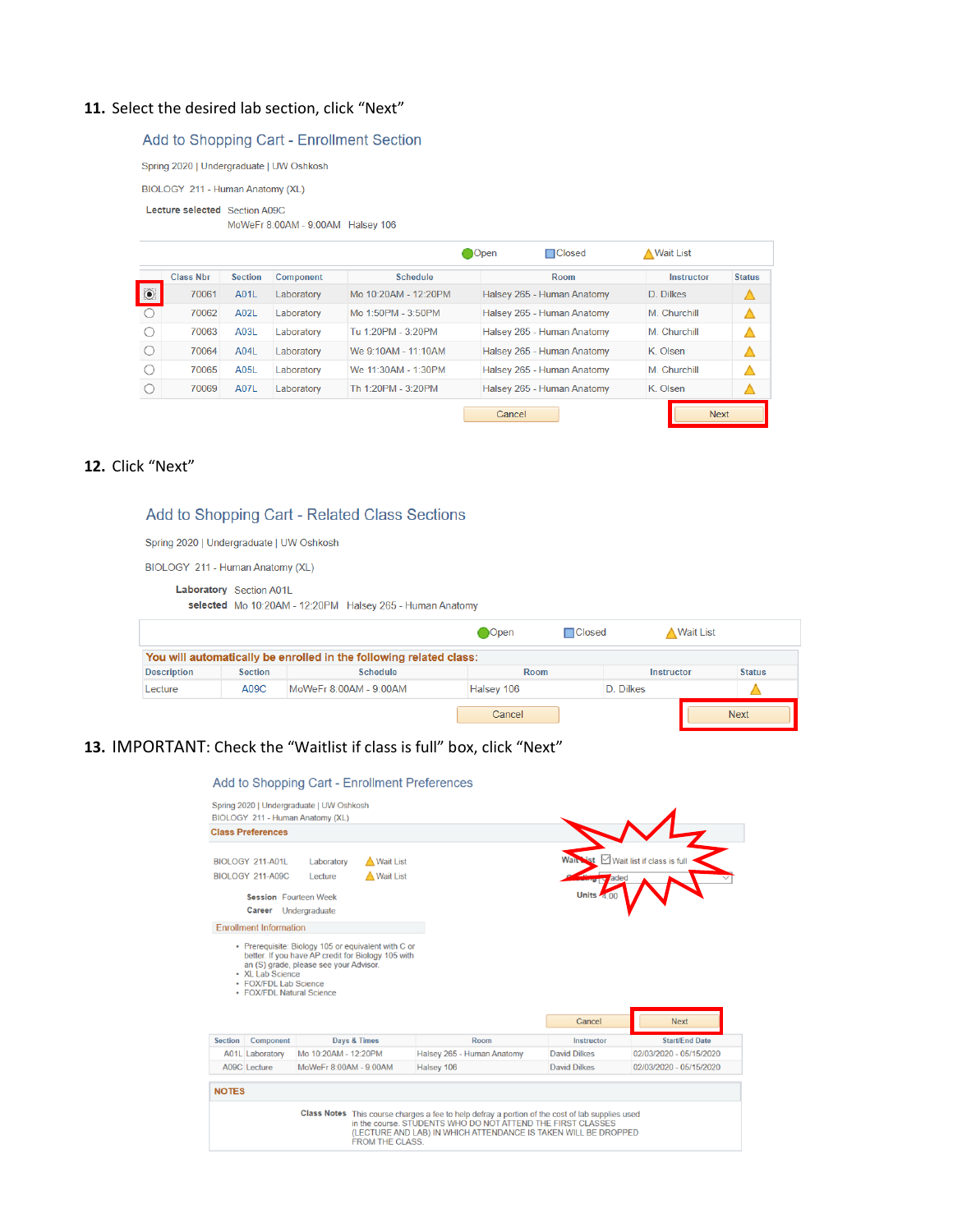### 11. Select the desired lab section, click "Next"

### Add to Shopping Cart - Enrollment Section

Spring 2020 | Undergraduate | UW Oshkosh

BIOLOGY 211 - Human Anatomy (XL)

#### Lecture selected Section A09C

MoWeFr 8:00AM - 9:00AM Halsey 106

| □Closed<br>A Wait List                     |                            |
|--------------------------------------------|----------------------------|
| <b>Room</b><br>Instructor                  | <b>Status</b>              |
| Halsey 265 - Human Anatomy<br>D. Dilkes    |                            |
| Halsey 265 - Human Anatomy<br>M. Churchill | Δ                          |
| Halsey 265 - Human Anatomy<br>M. Churchill |                            |
| Halsey 265 - Human Anatomy<br>K Olsen      |                            |
| M Churchill<br>Halsey 265 - Human Anatomy  |                            |
| K. Olsen                                   |                            |
|                                            | Halsey 265 - Human Anatomy |

## **12.** Click "Next"

### Add to Shopping Cart - Related Class Sections

Spring 2020 | Undergraduate | UW Oshkosh

BIOLOGY 211 - Human Anatomy (XL)

|                    | Laboratory Section A01L | selected Mo 10:20AM - 12:20PM Halsey 265 - Human Anatomy           |               |               |            |           |               |
|--------------------|-------------------------|--------------------------------------------------------------------|---------------|---------------|------------|-----------|---------------|
|                    |                         |                                                                    | <b>O</b> Open | $\Box$ Closed |            | Wait List |               |
|                    |                         | You will automatically be enrolled in the following related class: |               |               |            |           |               |
| <b>Description</b> | <b>Section</b>          | <b>Schedule</b>                                                    | Room          |               | Instructor |           | <b>Status</b> |
| Lecture            | A09C                    | MoWeFr 8:00AM - 9:00AM                                             | Halsey 106    |               | D. Dilkes  |           |               |
|                    |                         |                                                                    | Cancel        |               |            |           | <b>Next</b>   |

### **13.** IMPORTANT: Check the "Waitlist if class is full" box, click "Next"

|                | Spring 2020   Undergraduate   UW Oshkosh                               | BIOLOGY 211 - Human Anatomy (XL)                                                             |                                                     |                            |                     |                                      |
|----------------|------------------------------------------------------------------------|----------------------------------------------------------------------------------------------|-----------------------------------------------------|----------------------------|---------------------|--------------------------------------|
|                | <b>Class Preferences</b>                                               |                                                                                              |                                                     |                            |                     |                                      |
|                | BIOLOGY 211-A01L                                                       | Laboratory                                                                                   | <b>Wait List</b>                                    |                            |                     | $\boxdot$ Wait list if class is full |
|                | <b>BIOLOGY 211-A09C</b>                                                | Lecture                                                                                      | <b>A</b> Wait List                                  |                            | aded                |                                      |
|                | <b>Session</b> Fourteen Week<br>Career Undergraduate                   |                                                                                              |                                                     |                            | Units /             |                                      |
|                | <b>Enrollment Information</b>                                          |                                                                                              |                                                     |                            |                     |                                      |
|                |                                                                        | better. If you have AP credit for Biology 105 with<br>an (S) grade, please see your Advisor. | • Prerequisite: Biology 105 or equivalent with C or |                            |                     |                                      |
|                | • XL Lab Science<br>• FOX/FDL Lab Science<br>• FOX/FDI Natural Science |                                                                                              |                                                     |                            |                     |                                      |
|                |                                                                        |                                                                                              |                                                     |                            | Cancel              | <b>Next</b>                          |
|                | Component                                                              |                                                                                              | Days & Times                                        | Room                       | Instructor          | <b>Start/End Date</b>                |
|                | <b>A01L</b> Laboratory                                                 | Mo 10:20AM - 12:20PM                                                                         |                                                     | Halsey 265 - Human Anatomy | <b>David Dilkes</b> | 02/03/2020 - 05/15/2020              |
| <b>Section</b> | A09C Lecture                                                           | MoWeFr 8:00AM - 9:00AM                                                                       |                                                     | Halsey 106                 | <b>David Dilkes</b> | 02/03/2020 - 05/15/2020              |
| <b>NOTES</b>   |                                                                        |                                                                                              |                                                     |                            |                     |                                      |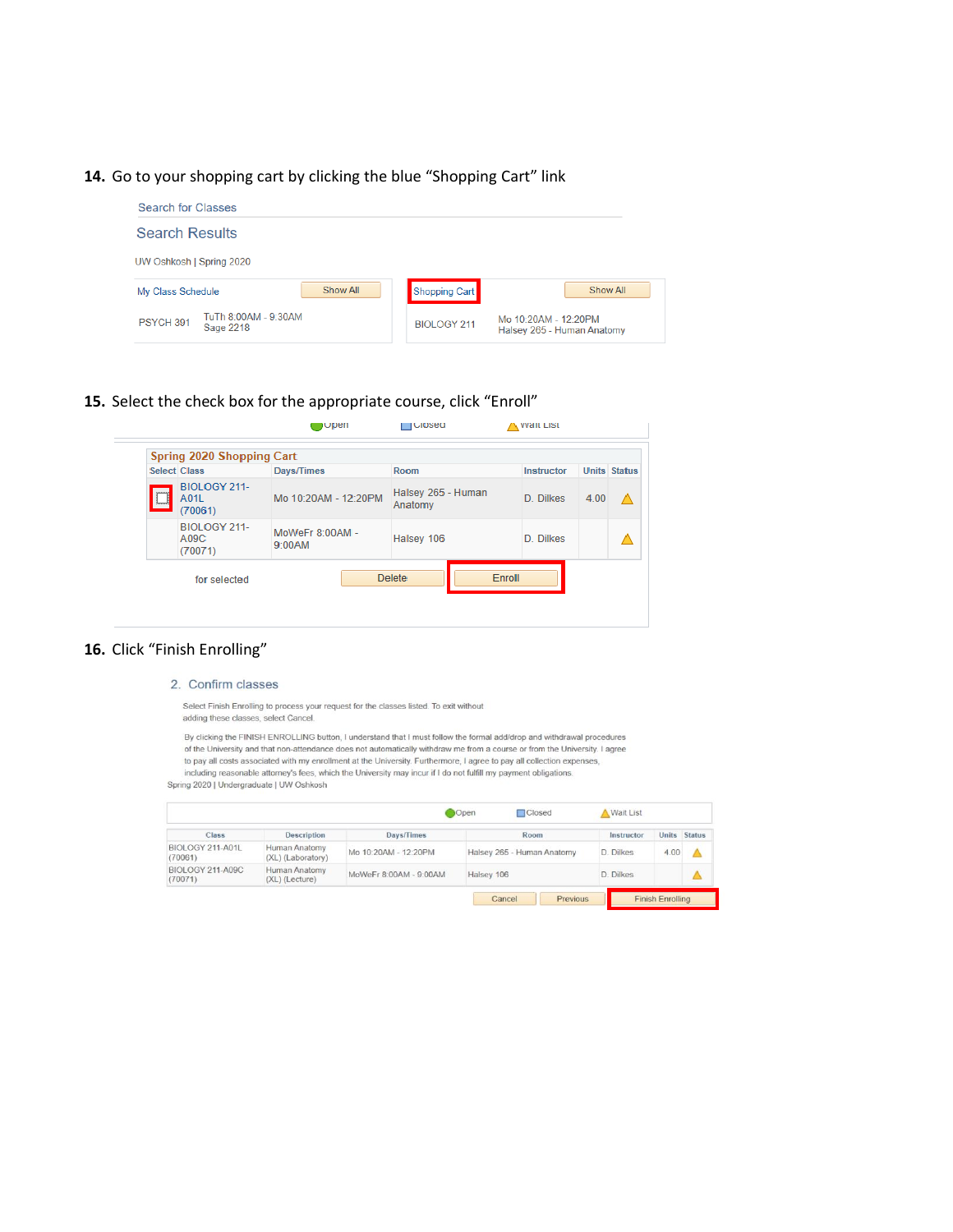### **14.** Go to your shopping cart by clicking the blue "Shopping Cart" link

| <b>Search for Classes</b>                                 |                                                                          |
|-----------------------------------------------------------|--------------------------------------------------------------------------|
| <b>Search Results</b>                                     |                                                                          |
| UW Oshkosh   Spring 2020                                  |                                                                          |
| Show All<br>My Class Schedule                             | Show All<br>Shopping Cart                                                |
| TuTh 8:00AM - 9:30AM<br>PSYCH <sub>391</sub><br>Sage 2218 | Mo 10:20AM - 12:20PM<br><b>BIOLOGY 211</b><br>Halsey 265 - Human Anatomy |

**15.** Select the check box for the appropriate course, click "Enroll"

|                     |                                 | ⊟∪pen                     | <b>I</b> Closed               | <b>A VVall LISL</b> |                     |          |
|---------------------|---------------------------------|---------------------------|-------------------------------|---------------------|---------------------|----------|
|                     | Spring 2020 Shopping Cart       |                           |                               |                     |                     |          |
| <b>Select Class</b> |                                 | Days/Times                | Room                          | Instructor          | <b>Units Status</b> |          |
| يسبر<br>Ц           | BIOLOGY 211-<br>A01L<br>(70061) | Mo 10:20AM - 12:20PM      | Halsey 265 - Human<br>Anatomy | D. Dilkes           | 4.00                | $\wedge$ |
|                     | BIOLOGY 211-<br>A09C<br>(70071) | MoWeFr 8:00AM -<br>9:00AM | Halsey 106                    | D. Dilkes           |                     |          |
|                     | for selected                    |                           | Enroll<br><b>Delete</b>       |                     |                     |          |

### **16.** Click "Finish Enrolling"

2. Confirm classes

Select Finish Enrolling to process your request for the classes listed. To exit without adding these classes, select Cancel.

By clicking the FINISH ENROLLING button, I understand that I must follow the formal add/drop and withdrawal procedures of the University and that non-attendance does not automatically withdraw me from a course or from the University. I agree to pay all costs associated with my enrollment at the University. Furthermore, I agree to pay all collection expenses, including reasonable attorney's fees, which the University may incur if I do not fulfill my payment obligations

Spring 2020 | Undergraduate | UW Oshkosh

|                             |                                                             |                      | Open       | Closed                     | <b>Wait List</b> |                         |               |  |
|-----------------------------|-------------------------------------------------------------|----------------------|------------|----------------------------|------------------|-------------------------|---------------|--|
| Class                       | <b>Description</b>                                          | Days/Times           |            | Room                       | Instructor       | <b>Units</b>            | <b>Status</b> |  |
| BIOLOGY 211-A01L<br>(70061) | Human Anatomy<br>(XL) (Laboratory)                          | Mo 10:20AM - 12:20PM |            | Halsey 265 - Human Anatomy | D. Dilkes        | 4.00                    |               |  |
| BIOLOGY 211-A09C            | Human Anatomy<br>MoWeFr 8:00AM - 9:00AM<br>$(XL)$ (Lecture) |                      | Halsey 106 |                            |                  | D. Dilkes               |               |  |
| (70071)                     |                                                             |                      | Cancel     | Previous                   |                  | <b>Finish Enrolling</b> |               |  |